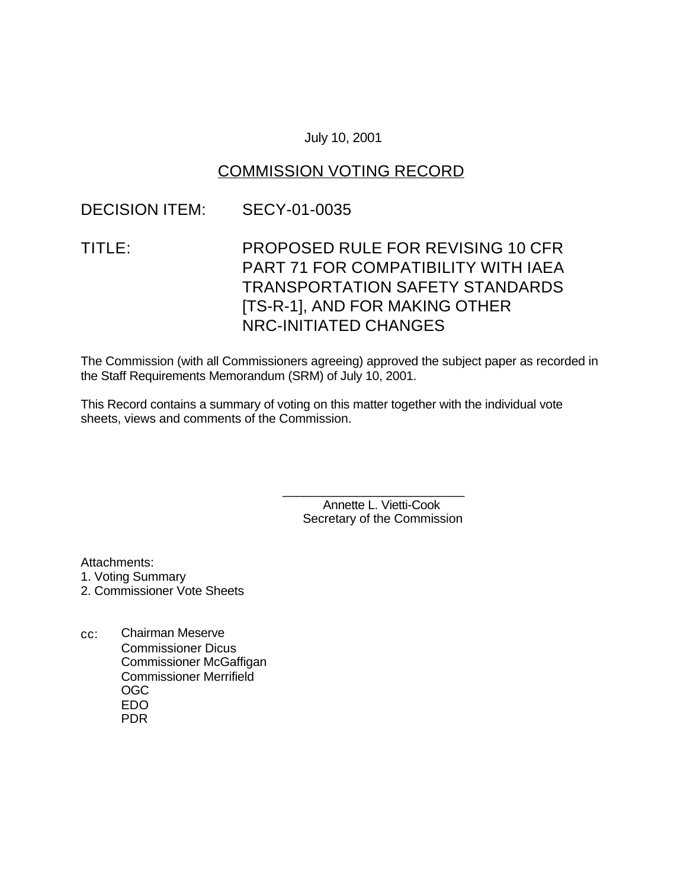### July 10, 2001

## COMMISSION VOTING RECORD

### DECISION ITEM: SECY-01-0035

# TITLE: PROPOSED RULE FOR REVISING 10 CFR PART 71 FOR COMPATIBILITY WITH IAEA TRANSPORTATION SAFETY STANDARDS [TS-R-1], AND FOR MAKING OTHER NRC-INITIATED CHANGES

The Commission (with all Commissioners agreeing) approved the subject paper as recorded in the Staff Requirements Memorandum (SRM) of July 10, 2001.

This Record contains a summary of voting on this matter together with the individual vote sheets, views and comments of the Commission.

> Annette L. Vietti-Cook Secretary of the Commission

\_\_\_\_\_\_\_\_\_\_\_\_\_\_\_\_\_\_\_\_\_\_\_\_\_\_\_

Attachments:

- 1. Voting Summary
- 2. Commissioner Vote Sheets
- cc: Chairman Meserve Commissioner Dicus Commissioner McGaffigan Commissioner Merrifield OGC EDO PDR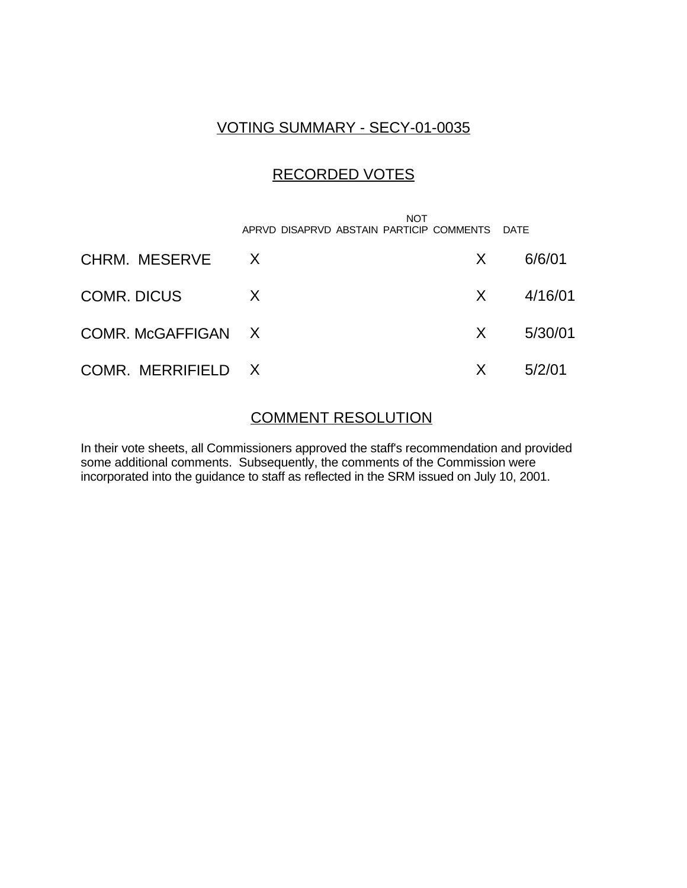# VOTING SUMMARY - SECY-01-0035

# RECORDED VOTES

|                    | <b>NOT</b><br>APRVD DISAPRVD ABSTAIN PARTICIP COMMENTS DATE |    |         |
|--------------------|-------------------------------------------------------------|----|---------|
| CHRM. MESERVE      | $\mathsf{X}$                                                | X  | 6/6/01  |
| <b>COMR. DICUS</b> | $\mathsf{X}$                                                | X  | 4/16/01 |
| COMR. McGAFFIGAN X |                                                             | X  | 5/30/01 |
| COMR. MERRIFIELD X |                                                             | X. | 5/2/01  |

### COMMENT RESOLUTION

In their vote sheets, all Commissioners approved the staff's recommendation and provided some additional comments. Subsequently, the comments of the Commission were incorporated into the guidance to staff as reflected in the SRM issued on July 10, 2001.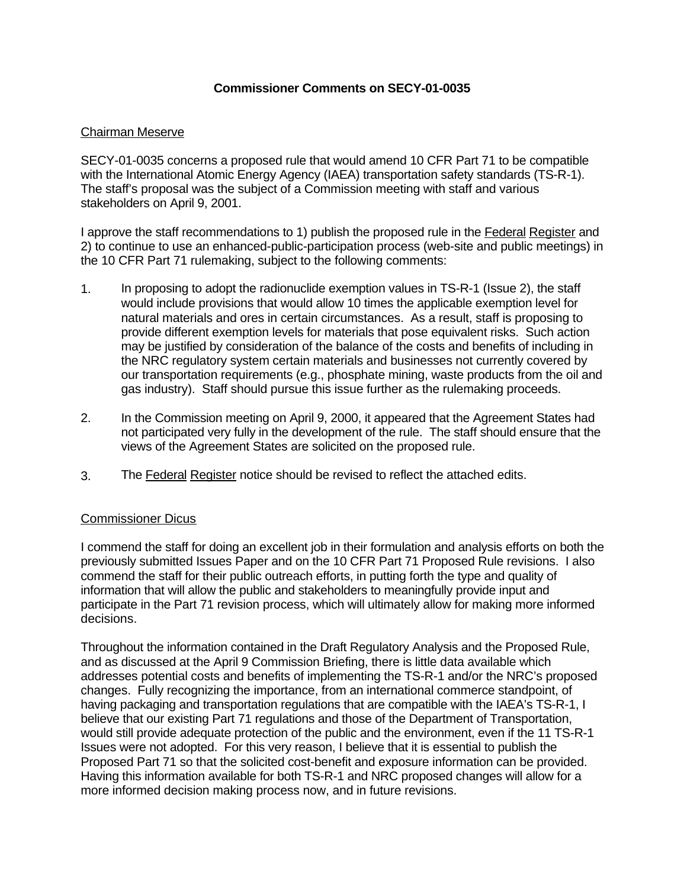### **Commissioner Comments on SECY-01-0035**

### Chairman Meserve

SECY-01-0035 concerns a proposed rule that would amend 10 CFR Part 71 to be compatible with the International Atomic Energy Agency (IAEA) transportation safety standards (TS-R-1). The staff's proposal was the subject of a Commission meeting with staff and various stakeholders on April 9, 2001.

I approve the staff recommendations to 1) publish the proposed rule in the Federal Register and 2) to continue to use an enhanced-public-participation process (web-site and public meetings) in the 10 CFR Part 71 rulemaking, subject to the following comments:

- 1. In proposing to adopt the radionuclide exemption values in TS-R-1 (Issue 2), the staff would include provisions that would allow 10 times the applicable exemption level for natural materials and ores in certain circumstances. As a result, staff is proposing to provide different exemption levels for materials that pose equivalent risks. Such action may be justified by consideration of the balance of the costs and benefits of including in the NRC regulatory system certain materials and businesses not currently covered by our transportation requirements (e.g., phosphate mining, waste products from the oil and gas industry). Staff should pursue this issue further as the rulemaking proceeds.
- 2. In the Commission meeting on April 9, 2000, it appeared that the Agreement States had not participated very fully in the development of the rule. The staff should ensure that the views of the Agreement States are solicited on the proposed rule.
- 3. The Federal Register notice should be revised to reflect the attached edits.

### Commissioner Dicus

I commend the staff for doing an excellent job in their formulation and analysis efforts on both the previously submitted Issues Paper and on the 10 CFR Part 71 Proposed Rule revisions. I also commend the staff for their public outreach efforts, in putting forth the type and quality of information that will allow the public and stakeholders to meaningfully provide input and participate in the Part 71 revision process, which will ultimately allow for making more informed decisions.

Throughout the information contained in the Draft Regulatory Analysis and the Proposed Rule, and as discussed at the April 9 Commission Briefing, there is little data available which addresses potential costs and benefits of implementing the TS-R-1 and/or the NRC's proposed changes. Fully recognizing the importance, from an international commerce standpoint, of having packaging and transportation regulations that are compatible with the IAEA's TS-R-1, I believe that our existing Part 71 regulations and those of the Department of Transportation, would still provide adequate protection of the public and the environment, even if the 11 TS-R-1 Issues were not adopted. For this very reason, I believe that it is essential to publish the Proposed Part 71 so that the solicited cost-benefit and exposure information can be provided. Having this information available for both TS-R-1 and NRC proposed changes will allow for a more informed decision making process now, and in future revisions.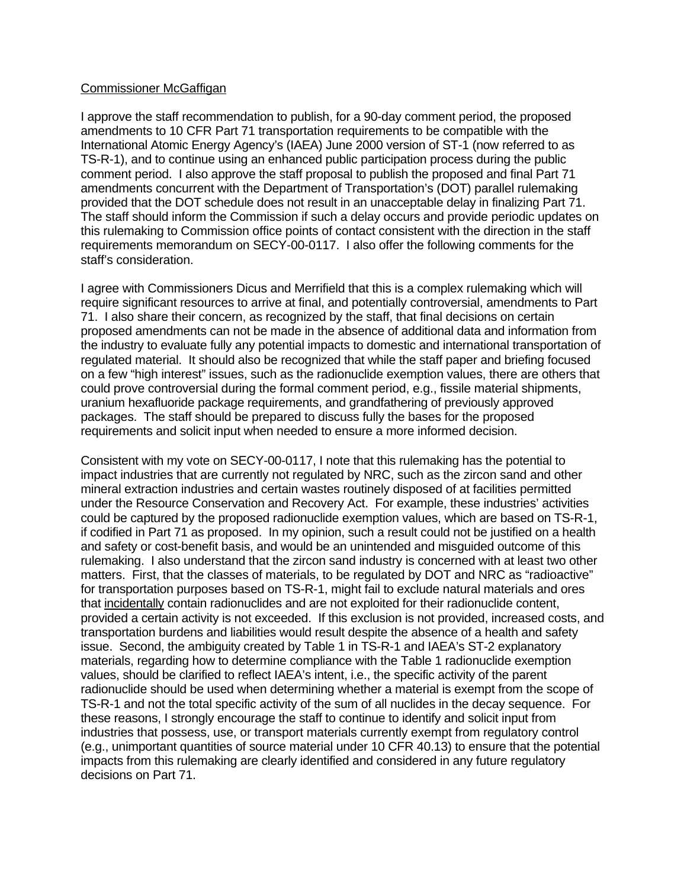#### Commissioner McGaffigan

I approve the staff recommendation to publish, for a 90-day comment period, the proposed amendments to 10 CFR Part 71 transportation requirements to be compatible with the International Atomic Energy Agency's (IAEA) June 2000 version of ST-1 (now referred to as TS-R-1), and to continue using an enhanced public participation process during the public comment period. I also approve the staff proposal to publish the proposed and final Part 71 amendments concurrent with the Department of Transportation's (DOT) parallel rulemaking provided that the DOT schedule does not result in an unacceptable delay in finalizing Part 71. The staff should inform the Commission if such a delay occurs and provide periodic updates on this rulemaking to Commission office points of contact consistent with the direction in the staff requirements memorandum on SECY-00-0117. I also offer the following comments for the staff's consideration.

I agree with Commissioners Dicus and Merrifield that this is a complex rulemaking which will require significant resources to arrive at final, and potentially controversial, amendments to Part 71. I also share their concern, as recognized by the staff, that final decisions on certain proposed amendments can not be made in the absence of additional data and information from the industry to evaluate fully any potential impacts to domestic and international transportation of regulated material. It should also be recognized that while the staff paper and briefing focused on a few "high interest" issues, such as the radionuclide exemption values, there are others that could prove controversial during the formal comment period, e.g., fissile material shipments, uranium hexafluoride package requirements, and grandfathering of previously approved packages. The staff should be prepared to discuss fully the bases for the proposed requirements and solicit input when needed to ensure a more informed decision.

Consistent with my vote on SECY-00-0117, I note that this rulemaking has the potential to impact industries that are currently not regulated by NRC, such as the zircon sand and other mineral extraction industries and certain wastes routinely disposed of at facilities permitted under the Resource Conservation and Recovery Act. For example, these industries' activities could be captured by the proposed radionuclide exemption values, which are based on TS-R-1, if codified in Part 71 as proposed. In my opinion, such a result could not be justified on a health and safety or cost-benefit basis, and would be an unintended and misguided outcome of this rulemaking. I also understand that the zircon sand industry is concerned with at least two other matters. First, that the classes of materials, to be regulated by DOT and NRC as "radioactive" for transportation purposes based on TS-R-1, might fail to exclude natural materials and ores that incidentally contain radionuclides and are not exploited for their radionuclide content, provided a certain activity is not exceeded. If this exclusion is not provided, increased costs, and transportation burdens and liabilities would result despite the absence of a health and safety issue. Second, the ambiguity created by Table 1 in TS-R-1 and IAEA's ST-2 explanatory materials, regarding how to determine compliance with the Table 1 radionuclide exemption values, should be clarified to reflect IAEA's intent, i.e., the specific activity of the parent radionuclide should be used when determining whether a material is exempt from the scope of TS-R-1 and not the total specific activity of the sum of all nuclides in the decay sequence. For these reasons, I strongly encourage the staff to continue to identify and solicit input from industries that possess, use, or transport materials currently exempt from regulatory control (e.g., unimportant quantities of source material under 10 CFR 40.13) to ensure that the potential impacts from this rulemaking are clearly identified and considered in any future regulatory decisions on Part 71.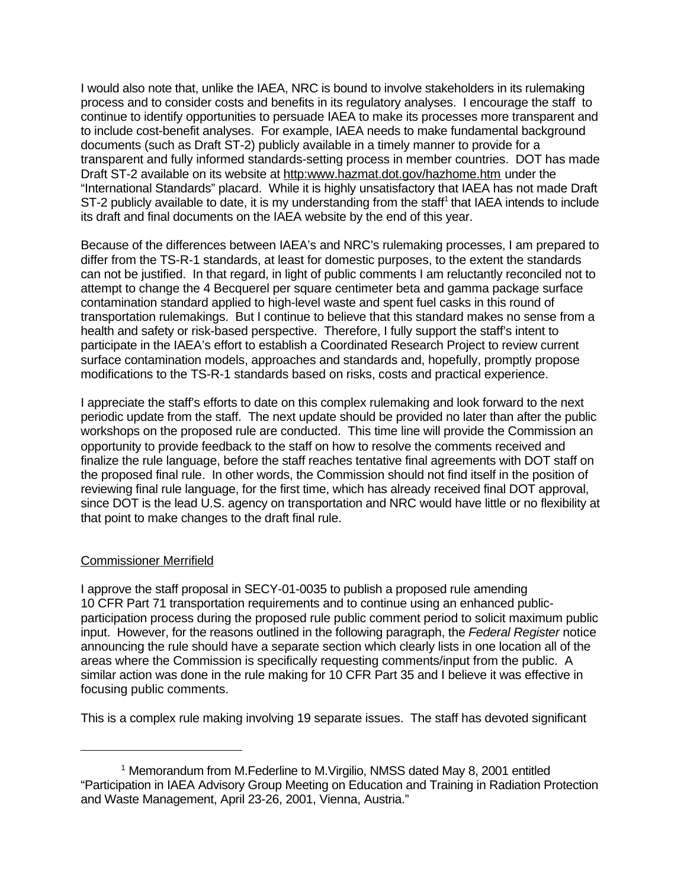I would also note that, unlike the IAEA, NRC is bound to involve stakeholders in its rulemaking process and to consider costs and benefits in its regulatory analyses. I encourage the staff to continue to identify opportunities to persuade IAEA to make its processes more transparent and to include cost-benefit analyses. For example, IAEA needs to make fundamental background documents (such as Draft ST-2) publicly available in a timely manner to provide for a transparent and fully informed standards-setting process in member countries. DOT has made Draft ST-2 available on its website at http:www.hazmat.dot.gov/hazhome.htm under the "International Standards" placard. While it is highly unsatisfactory that IAEA has not made Draft ST-2 publicly available to date, it is my understanding from the staff<sup>1</sup> that IAEA intends to include its draft and final documents on the IAEA website by the end of this year.

Because of the differences between IAEA's and NRC's rulemaking processes, I am prepared to differ from the TS-R-1 standards, at least for domestic purposes, to the extent the standards can not be justified. In that regard, in light of public comments I am reluctantly reconciled not to attempt to change the 4 Becquerel per square centimeter beta and gamma package surface contamination standard applied to high-level waste and spent fuel casks in this round of transportation rulemakings. But I continue to believe that this standard makes no sense from a health and safety or risk-based perspective. Therefore, I fully support the staff's intent to participate in the IAEA's effort to establish a Coordinated Research Project to review current surface contamination models, approaches and standards and, hopefully, promptly propose modifications to the TS-R-1 standards based on risks, costs and practical experience.

I appreciate the staff's efforts to date on this complex rulemaking and look forward to the next periodic update from the staff. The next update should be provided no later than after the public workshops on the proposed rule are conducted. This time line will provide the Commission an opportunity to provide feedback to the staff on how to resolve the comments received and finalize the rule language, before the staff reaches tentative final agreements with DOT staff on the proposed final rule. In other words, the Commission should not find itself in the position of reviewing final rule language, for the first time, which has already received final DOT approval, since DOT is the lead U.S. agency on transportation and NRC would have little or no flexibility at that point to make changes to the draft final rule.

### Commissioner Merrifield

I approve the staff proposal in SECY-01-0035 to publish a proposed rule amending 10 CFR Part 71 transportation requirements and to continue using an enhanced publicparticipation process during the proposed rule public comment period to solicit maximum public input. However, for the reasons outlined in the following paragraph, the *Federal Register* notice announcing the rule should have a separate section which clearly lists in one location all of the areas where the Commission is specifically requesting comments/input from the public. A similar action was done in the rule making for 10 CFR Part 35 and I believe it was effective in focusing public comments.

This is a complex rule making involving 19 separate issues. The staff has devoted significant

<sup>&</sup>lt;sup>1</sup> Memorandum from M.Federline to M.Virgilio, NMSS dated May 8, 2001 entitled "Participation in IAEA Advisory Group Meeting on Education and Training in Radiation Protection and Waste Management, April 23-26, 2001, Vienna, Austria."